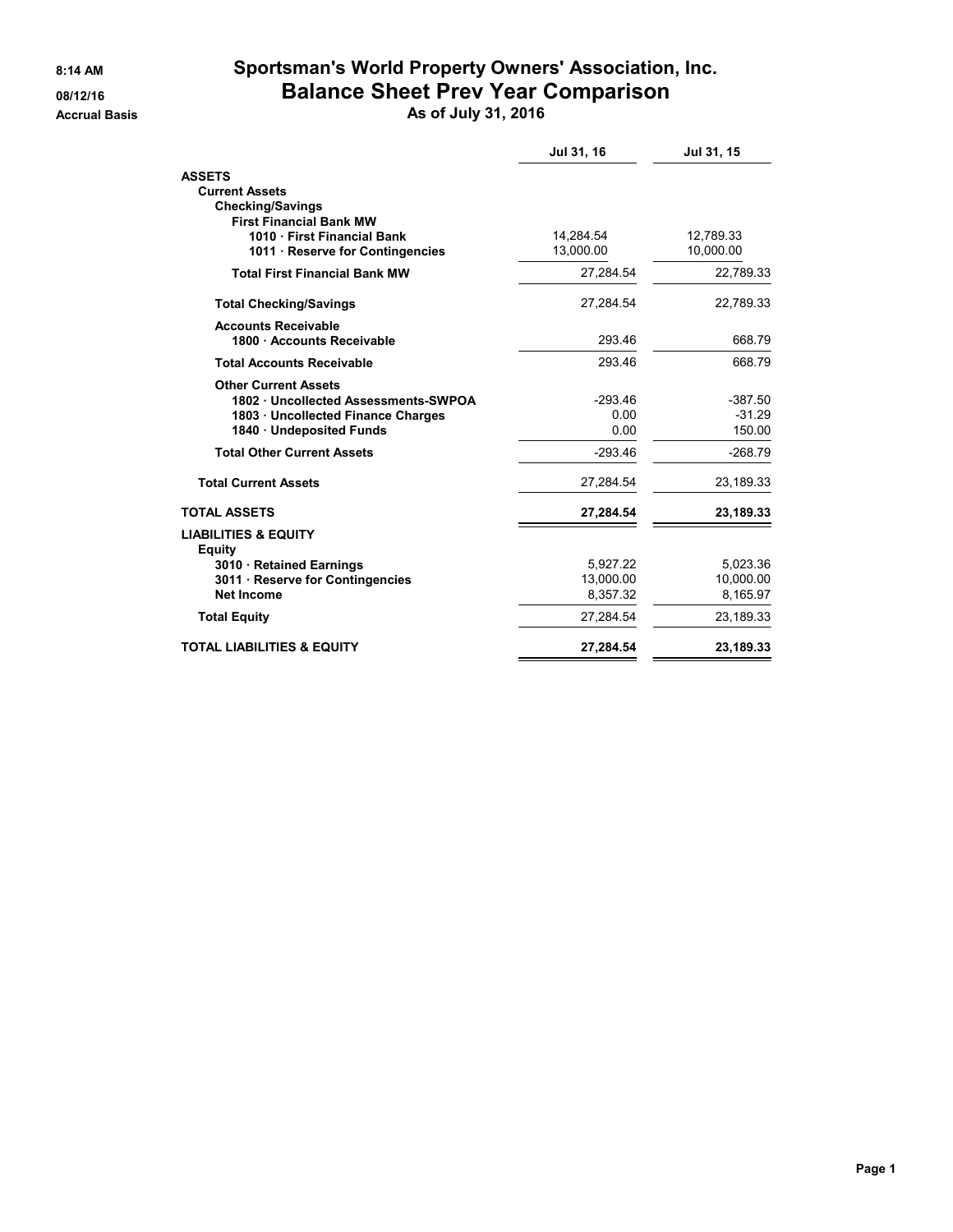## **8:14 AM Sportsman's World Property Owners' Association, Inc. 08/12/16 Balance Sheet Prev Year Comparison**

**Accrual Basis As of July 31, 2016**

|                                                  | Jul 31, 16 | Jul 31, 15 |
|--------------------------------------------------|------------|------------|
| <b>ASSETS</b>                                    |            |            |
| <b>Current Assets</b>                            |            |            |
| <b>Checking/Savings</b>                          |            |            |
| <b>First Financial Bank MW</b>                   |            |            |
| 1010 First Financial Bank                        | 14,284.54  | 12,789.33  |
| 1011 · Reserve for Contingencies                 | 13,000.00  | 10,000.00  |
| <b>Total First Financial Bank MW</b>             | 27.284.54  | 22,789.33  |
| <b>Total Checking/Savings</b>                    | 27.284.54  | 22,789.33  |
| <b>Accounts Receivable</b>                       |            |            |
| 1800 · Accounts Receivable                       | 293.46     | 668.79     |
| <b>Total Accounts Receivable</b>                 | 293.46     | 668.79     |
| <b>Other Current Assets</b>                      |            |            |
| 1802 · Uncollected Assessments-SWPOA             | $-293.46$  | $-387.50$  |
| 1803 Uncollected Finance Charges                 | 0.00       | $-31.29$   |
| 1840 Undeposited Funds                           | 0.00       | 150.00     |
| <b>Total Other Current Assets</b>                | $-293.46$  | $-268.79$  |
| <b>Total Current Assets</b>                      | 27.284.54  | 23,189.33  |
| <b>TOTAL ASSETS</b>                              | 27,284.54  | 23,189.33  |
| <b>LIABILITIES &amp; EQUITY</b><br><b>Equity</b> |            |            |
| 3010 Retained Earnings                           | 5,927.22   | 5,023.36   |
| 3011 · Reserve for Contingencies                 | 13,000.00  | 10,000.00  |
| <b>Net Income</b>                                | 8.357.32   | 8,165.97   |
| <b>Total Equity</b>                              | 27,284.54  | 23,189.33  |
| <b>TOTAL LIABILITIES &amp; EQUITY</b>            | 27,284.54  | 23,189.33  |